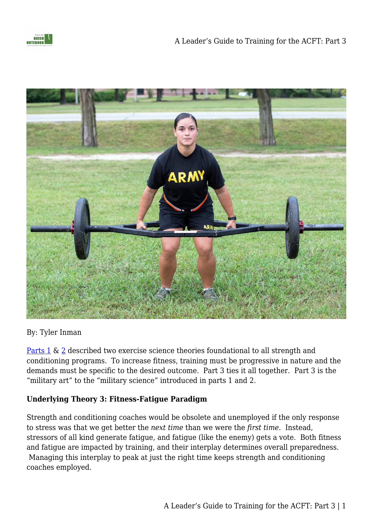

By: Tyler Inman

[Parts 1](https://fromthegreennotebook.com/2019/02/04/a-leaders-guide-to-training-for-the-acft-part-1/) & [2](https://fromthegreennotebook.com/2019/02/05/a-leaders-guide-to-training-for-the-acft-part-2/) described two exercise science theories foundational to all strength and conditioning programs. To increase fitness, training must be progressive in nature and the demands must be specific to the desired outcome. Part 3 ties it all together. Part 3 is the "military art" to the "military science" introduced in parts 1 and 2.

### **Underlying Theory 3: Fitness-Fatigue Paradigm**

Strength and conditioning coaches would be obsolete and unemployed if the only response to stress was that we get better the *next time* than we were the *first time*. Instead, stressors of all kind generate fatigue, and fatigue (like the enemy) gets a vote. Both fitness and fatigue are impacted by training, and their interplay determines overall preparedness. Managing this interplay to peak at just the right time keeps strength and conditioning coaches employed.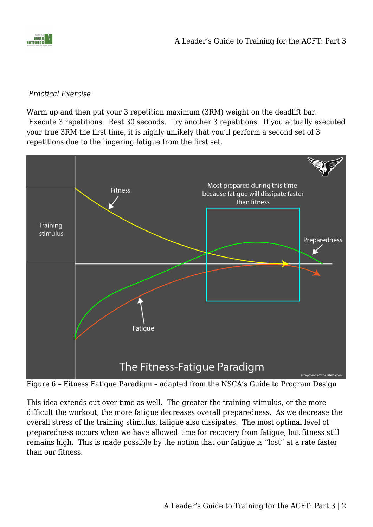

#### *Practical Exercise*

Warm up and then put your 3 repetition maximum (3RM) weight on the deadlift bar. Execute 3 repetitions. Rest 30 seconds. Try another 3 repetitions. If you actually executed your true 3RM the first time, it is highly unlikely that you'll perform a second set of 3 repetitions due to the lingering fatigue from the first set.



Figure 6 – Fitness Fatigue Paradigm – adapted from the NSCA's Guide to Program Design

This idea extends out over time as well. The greater the training stimulus, or the more difficult the workout, the more fatigue decreases overall preparedness. As we decrease the overall stress of the training stimulus, fatigue also dissipates. The most optimal level of preparedness occurs when we have allowed time for recovery from fatigue, but fitness still remains high. This is made possible by the notion that our fatigue is "lost" at a rate faster than our fitness.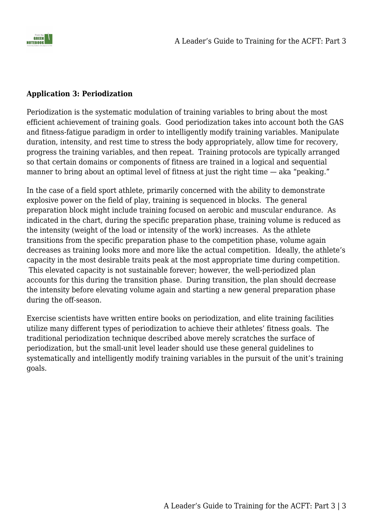

### **Application 3: Periodization**

Periodization is the systematic modulation of training variables to bring about the most efficient achievement of training goals. Good periodization takes into account both the GAS and fitness-fatigue paradigm in order to intelligently modify training variables. Manipulate duration, intensity, and rest time to stress the body appropriately, allow time for recovery, progress the training variables, and then repeat. Training protocols are typically arranged so that certain domains or components of fitness are trained in a logical and sequential manner to bring about an optimal level of fitness at just the right time — aka "peaking."

In the case of a field sport athlete, primarily concerned with the ability to demonstrate explosive power on the field of play, training is sequenced in blocks. The general preparation block might include training focused on aerobic and muscular endurance. As indicated in the chart, during the specific preparation phase, training volume is reduced as the intensity (weight of the load or intensity of the work) increases. As the athlete transitions from the specific preparation phase to the competition phase, volume again decreases as training looks more and more like the actual competition. Ideally, the athlete's capacity in the most desirable traits peak at the most appropriate time during competition. This elevated capacity is not sustainable forever; however, the well-periodized plan accounts for this during the transition phase. During transition, the plan should decrease the intensity before elevating volume again and starting a new general preparation phase during the off-season.

Exercise scientists have written entire books on periodization, and elite training facilities utilize many different types of periodization to achieve their athletes' fitness goals. The traditional periodization technique described above merely scratches the surface of periodization, but the small-unit level leader should use these general guidelines to systematically and intelligently modify training variables in the pursuit of the unit's training goals.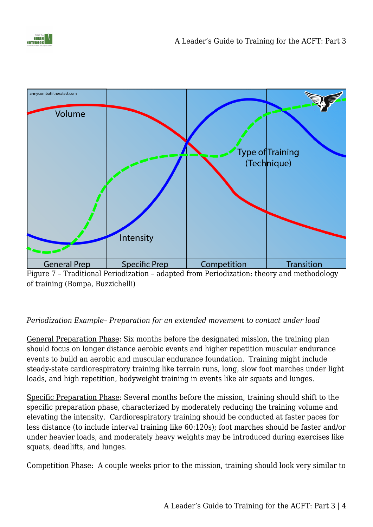



Figure 7 – Traditional Periodization – adapted from Periodization: theory and methodology of training (Bompa, Buzzichelli)

## *Periodization Example*– *Preparation for an extended movement to contact under load*

General Preparation Phase: Six months before the designated mission, the training plan should focus on longer distance aerobic events and higher repetition muscular endurance events to build an aerobic and muscular endurance foundation. Training might include steady-state cardiorespiratory training like terrain runs, long, slow foot marches under light loads, and high repetition, bodyweight training in events like air squats and lunges.

Specific Preparation Phase: Several months before the mission, training should shift to the specific preparation phase, characterized by moderately reducing the training volume and elevating the intensity. Cardiorespiratory training should be conducted at faster paces for less distance (to include interval training like 60:120s); foot marches should be faster and/or under heavier loads, and moderately heavy weights may be introduced during exercises like squats, deadlifts, and lunges.

Competition Phase: A couple weeks prior to the mission, training should look very similar to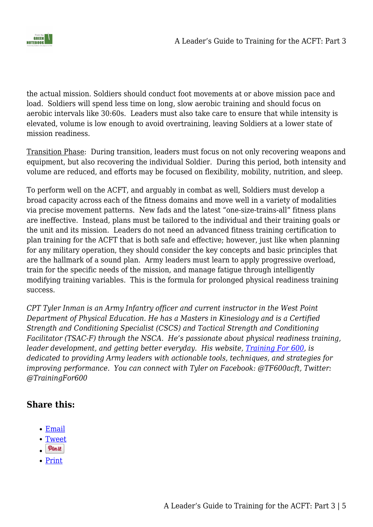

the actual mission. Soldiers should conduct foot movements at or above mission pace and load. Soldiers will spend less time on long, slow aerobic training and should focus on aerobic intervals like 30:60s. Leaders must also take care to ensure that while intensity is elevated, volume is low enough to avoid overtraining, leaving Soldiers at a lower state of mission readiness.

Transition Phase: During transition, leaders must focus on not only recovering weapons and equipment, but also recovering the individual Soldier. During this period, both intensity and volume are reduced, and efforts may be focused on flexibility, mobility, nutrition, and sleep.

To perform well on the ACFT, and arguably in combat as well, Soldiers must develop a broad capacity across each of the fitness domains and move well in a variety of modalities via precise movement patterns. New fads and the latest "one-size-trains-all" fitness plans are ineffective. Instead, plans must be tailored to the individual and their training goals or the unit and its mission. Leaders do not need an advanced fitness training certification to plan training for the ACFT that is both safe and effective; however, just like when planning for any military operation, they should consider the key concepts and basic principles that are the hallmark of a sound plan. Army leaders must learn to apply progressive overload, train for the specific needs of the mission, and manage fatigue through intelligently modifying training variables. This is the formula for prolonged physical readiness training success.

*CPT Tyler Inman is an Army Infantry officer and current instructor in the West Point Department of Physical Education. He has a Masters in Kinesiology and is a Certified Strength and Conditioning Specialist (CSCS) and Tactical Strength and Conditioning Facilitator (TSAC-F) through the NSCA. He's passionate about physical readiness training, leader development, and getting better everyday. His website, [Training For 600](http://armycombatfitnesstest.com/), is dedicated to providing Army leaders with actionable tools, techniques, and strategies for improving performance. You can connect with Tyler on Facebook: @TF600acft, Twitter: @TrainingFor600*

# **Share this:**

- [Email](mailto:?subject=%5BShared%20Post%5D%20A%20Leader%27s%20Guide%20to%20Training%20for%20the%20ACFT%3A%20Part%203&body=https%3A%2F%2Ffromthegreennotebook.com%2F2019%2F02%2F06%2Fa-leaders-guide-to-training-for-the-acft-part-3%2F&share=email)
- [Tweet](https://twitter.com/share)
- $\n<sub>0</sub>$
- [Print](https://fromthegreennotebook.com/2019/02/06/a-leaders-guide-to-training-for-the-acft-part-3/#print)